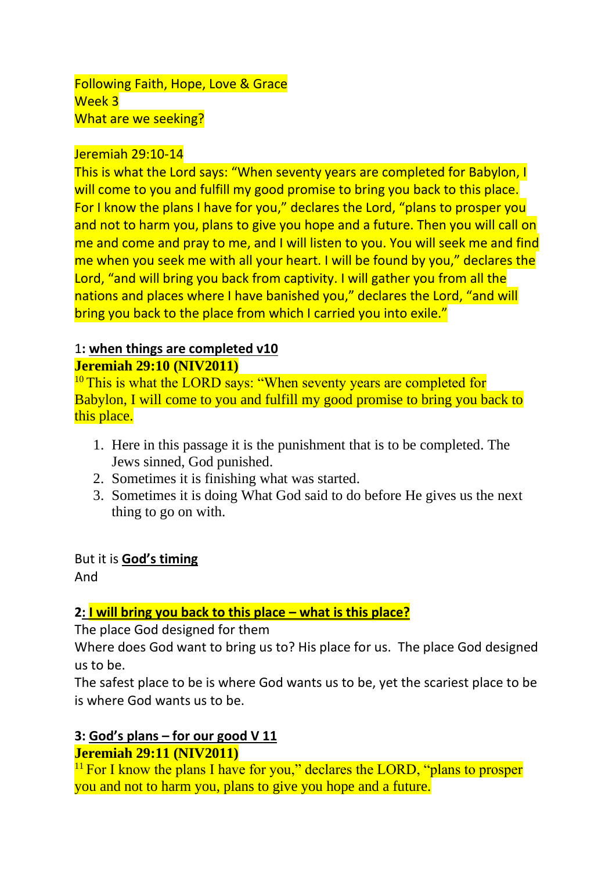#### Jeremiah 29:10-14

This is what the Lord says: "When seventy years are completed for Babylon, I will come to you and fulfill my good promise to bring you back to this place. For I know the plans I have for you," declares the Lord, "plans to prosper you and not to harm you, plans to give you hope and a future. Then you will call on me and come and pray to me, and I will listen to you. You will seek me and find me when you seek me with all your heart. I will be found by you," declares the Lord, "and will bring you back from captivity. I will gather you from all the nations and places where I have banished you," declares the Lord, "and will bring you back to the place from which I carried you into exile."

# 1**: when things are completed v10**

## **Jeremiah 29:10 (NIV2011)**

<sup>10</sup>This is what the LORD says: "When seventy years are completed for Babylon, I will come to you and fulfill my good promise to bring you back to this place.

- 1. Here in this passage it is the punishment that is to be completed. The Jews sinned, God punished.
- 2. Sometimes it is finishing what was started.
- 3. Sometimes it is doing What God said to do before He gives us the next thing to go on with.

But it is **God's timing** And

# **2: I will bring you back to this place – what is this place?**

The place God designed for them

Where does God want to bring us to? His place for us. The place God designed us to be.

The safest place to be is where God wants us to be, yet the scariest place to be is where God wants us to be.

# **3: God's plans – for our good V 11**

## **Jeremiah 29:11 (NIV2011)**

 $11$  For I know the plans I have for you," declares the LORD, "plans to prosper you and not to harm you, plans to give you hope and a future.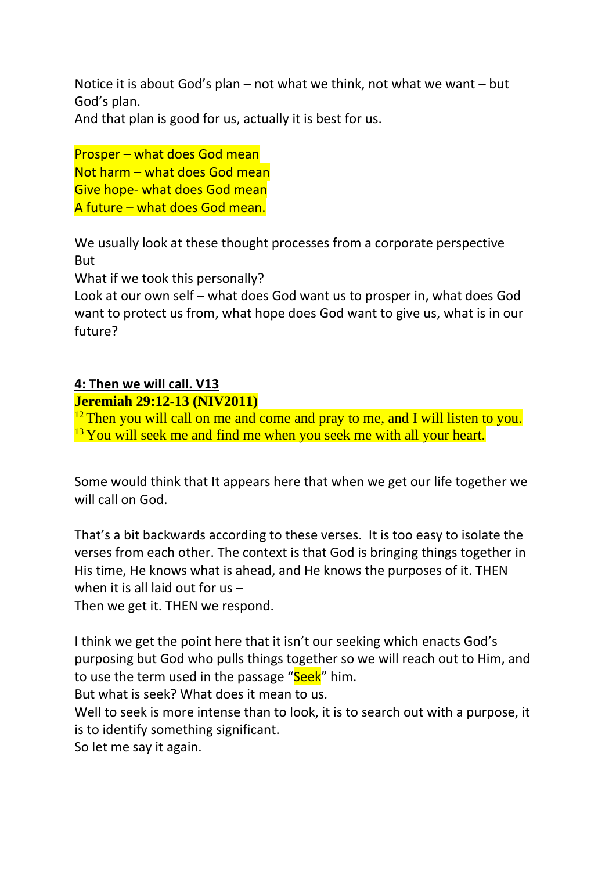Notice it is about God's plan – not what we think, not what we want – but God's plan.

And that plan is good for us, actually it is best for us.

Prosper – what does God mean Not harm – what does God mean Give hope- what does God mean A future – what does God mean.

We usually look at these thought processes from a corporate perspective But

What if we took this personally?

Look at our own self – what does God want us to prosper in, what does God want to protect us from, what hope does God want to give us, what is in our future?

### **4: Then we will call. V13**

**Jeremiah 29:12-13 (NIV2011)** 

 $12$  Then you will call on me and come and pray to me, and I will listen to you.  $13$  You will seek me and find me when you seek me with all your heart.

Some would think that It appears here that when we get our life together we will call on God.

That's a bit backwards according to these verses. It is too easy to isolate the verses from each other. The context is that God is bringing things together in His time, He knows what is ahead, and He knows the purposes of it. THEN when it is all laid out for us –

Then we get it. THEN we respond.

I think we get the point here that it isn't our seeking which enacts God's purposing but God who pulls things together so we will reach out to Him, and to use the term used in the passage "Seek" him.

But what is seek? What does it mean to us.

Well to seek is more intense than to look, it is to search out with a purpose, it is to identify something significant.

So let me say it again.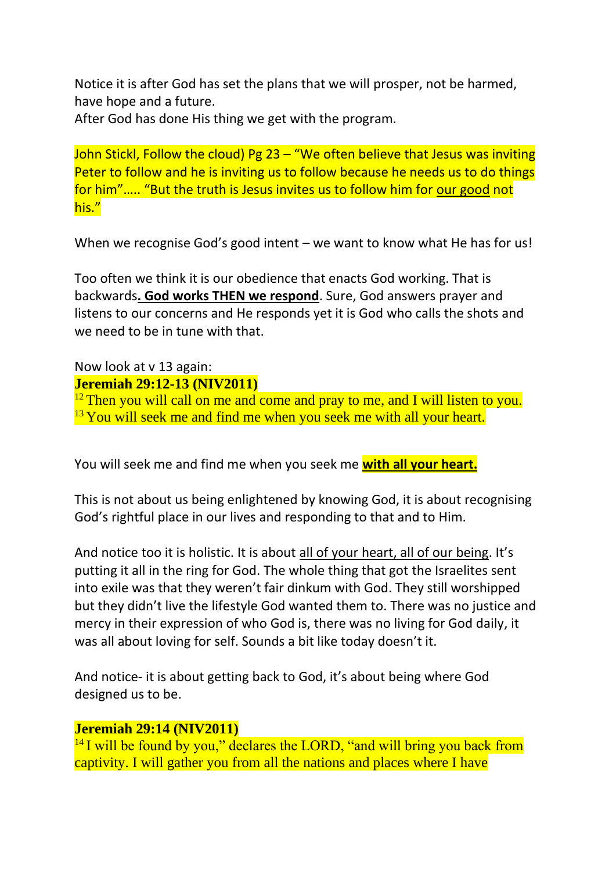Notice it is after God has set the plans that we will prosper, not be harmed, have hope and a future.

After God has done His thing we get with the program.

John Stickl, Follow the cloud) Pg 23 – "We often believe that Jesus was inviting Peter to follow and he is inviting us to follow because he needs us to do things for him"….. "But the truth is Jesus invites us to follow him for our good not his."

When we recognise God's good intent – we want to know what He has for us!

Too often we think it is our obedience that enacts God working. That is backwards**. God works THEN we respond**. Sure, God answers prayer and listens to our concerns and He responds yet it is God who calls the shots and we need to be in tune with that.

#### Now look at v 13 again: **Jeremiah 29:12-13 (NIV2011)**

 $12$  Then you will call on me and come and pray to me, and I will listen to you.  $13$  You will seek me and find me when you seek me with all your heart.

You will seek me and find me when you seek me **with all your heart.**

This is not about us being enlightened by knowing God, it is about recognising God's rightful place in our lives and responding to that and to Him.

And notice too it is holistic. It is about all of your heart, all of our being. It's putting it all in the ring for God. The whole thing that got the Israelites sent into exile was that they weren't fair dinkum with God. They still worshipped but they didn't live the lifestyle God wanted them to. There was no justice and mercy in their expression of who God is, there was no living for God daily, it was all about loving for self. Sounds a bit like today doesn't it.

And notice- it is about getting back to God, it's about being where God designed us to be.

#### **Jeremiah 29:14 (NIV2011)**

<sup>14</sup> I will be found by you," declares the LORD, "and will bring you back from captivity. I will gather you from all the nations and places where I have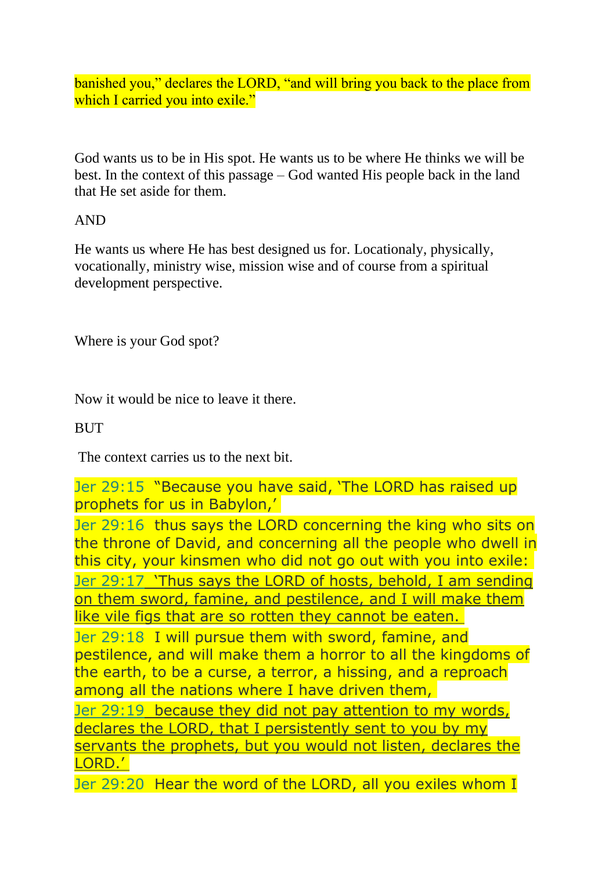banished you," declares the LORD, "and will bring you back to the place from which I carried you into exile."

God wants us to be in His spot. He wants us to be where He thinks we will be best. In the context of this passage – God wanted His people back in the land that He set aside for them.

### AND

He wants us where He has best designed us for. Locationaly, physically, vocationally, ministry wise, mission wise and of course from a spiritual development perspective.

Where is your God spot?

Now it would be nice to leave it there.

### **BUT**

The context carries us to the next bit.

Jer 29:15 "Because you have said, 'The LORD has raised up prophets for us in Babylon,'

Jer 29:16 thus says the LORD concerning the king who sits on the throne of David, and concerning all the people who dwell in this city, your kinsmen who did not go out with you into exile: Jer 29:17 'Thus says the LORD of hosts, behold, I am sending on them sword, famine, and pestilence, and I will make them like vile figs that are so rotten they cannot be eaten. Jer 29:18 I will pursue them with sword, famine, and pestilence, and will make them a horror to all the kingdoms of the earth, to be a curse, a terror, a hissing, and a reproach among all the nations where I have driven them, Jer 29:19 because they did not pay attention to my words, declares the LORD, that I persistently sent to you by my servants the prophets, but you would not listen, declares the

LORD.'

Jer 29:20 Hear the word of the LORD, all you exiles whom I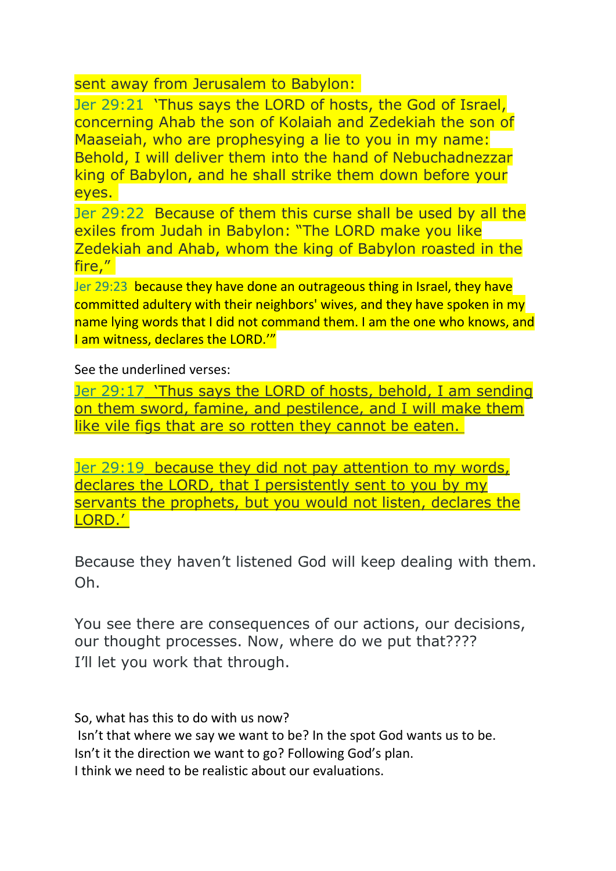sent away from Jerusalem to Babylon:

Jer 29:21 'Thus says the LORD of hosts, the God of Israel, concerning Ahab the son of Kolaiah and Zedekiah the son of Maaseiah, who are prophesying a lie to you in my name: Behold, I will deliver them into the hand of Nebuchadnezzar king of Babylon, and he shall strike them down before your eyes.

Jer 29:22 Because of them this curse shall be used by all the exiles from Judah in Babylon: "The LORD make you like Zedekiah and Ahab, whom the king of Babylon roasted in the fire,"

Jer 29:23 because they have done an outrageous thing in Israel, they have committed adultery with their neighbors' wives, and they have spoken in my name lying words that I did not command them. I am the one who knows, and I am witness, declares the LORD."

See the underlined verses:

Jer 29:17 'Thus says the LORD of hosts, behold, I am sending on them sword, famine, and pestilence, and I will make them like vile figs that are so rotten they cannot be eaten.

Jer 29:19 because they did not pay attention to my words, declares the LORD, that I persistently sent to you by my servants the prophets, but you would not listen, declares the LORD.'

Because they haven't listened God will keep dealing with them. Oh.

You see there are consequences of our actions, our decisions, our thought processes. Now, where do we put that???? I'll let you work that through.

So, what has this to do with us now?

Isn't that where we say we want to be? In the spot God wants us to be. Isn't it the direction we want to go? Following God's plan. I think we need to be realistic about our evaluations.